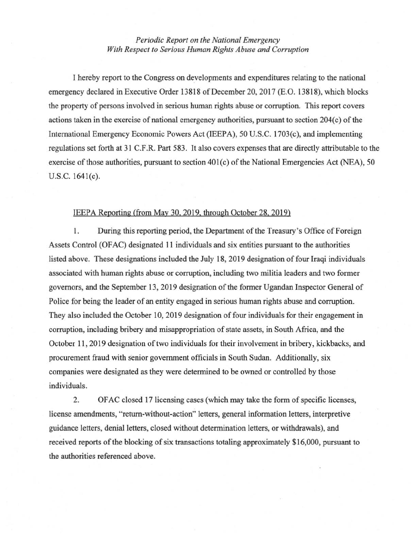## *Periodic Report on the National Emergency With Respect to Serious Human Rights Abuse and Corruption*

I hereby report to the Congress on developments and expenditures relating to the national emergency declared in Executive Order 13818 of December 20, 2017 (E.O. 13818), which blocks the property of persons involved in serious human rights abuse or corruption. This report covers actions taken in the exercise of national emergency authorities, pursuant to section 204(c) of the International Emergency Economic Powers Act (IEEPA), 50 U.S.C. 1703(c), and implementing regulations set forth at 31 C.F.R. Part 583. It also covers expenses that are directly attributable to the exercise of those authorities, pursuant to section 401(c) of the National Emergencies Act (NEA), 50 U.S.C. 1641(c).

## IEEPA Reporting (from May 30, 2019. through October 28, 2019)

1. During this reporting period, the Department of the Treasury's Office of Foreign Assets Control (OFAC) designated 11 individuals and six entities pursuant to the authorities listed above. These designations included the July 18, 2019 designation of four Iraqi individuals associated with human rights abuse or corruption, including two militia leaders and two former governors, and the September 13, 2019 designation of the former Ugandan Inspector General of Police for being the leader of an entity engaged in serious human rights abuse and corruption. They also included the October 10, 2019 designation of four individuals for their engagement in corruption, including bribery and misappropriation of state assets, in South Africa, and the October 11 , 2019 designation of two individuals for their involvement in bribery, kickbacks, and procurement fraud with senior government officials in South Sudan. Additionally, six companies were designated as they were determined to be owned or controlled by those individuals.

2. OF AC closed 17 licensing cases (which may take the form of specific licenses, license amendments, "return-without-action" letters, general information letters, interpretive guidance letters, denial letters, closed without determination letters, or withdrawals), and received reports of the blocking of six transactions totaling approximately \$16,000, pursuant to the authorities referenced above.